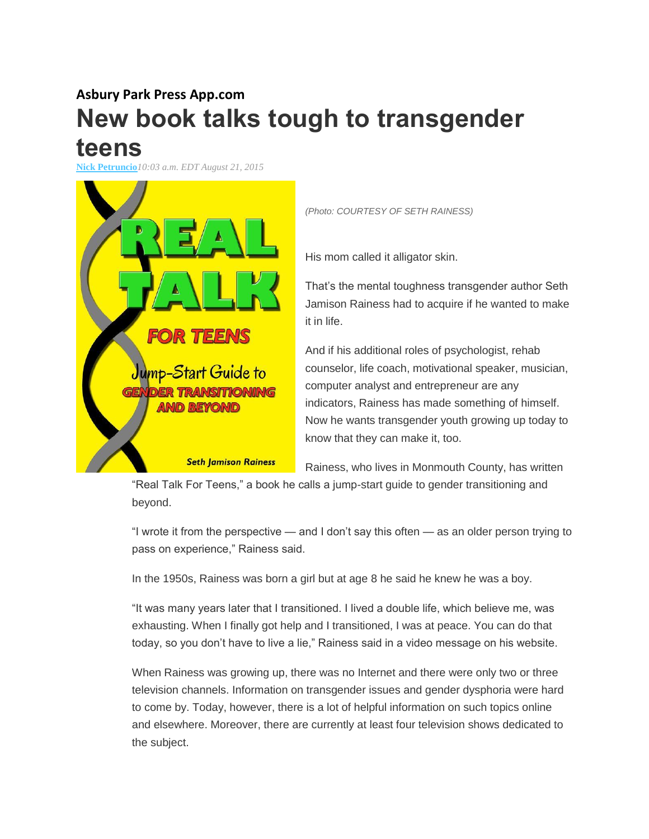## **Asbury Park Press App.com New book talks tough to transgender teens**

**[Nick Petruncio](http://www.app.com/staff/11803/nick-petruncio/)***10:03 a.m. EDT August 21, 2015*



*(Photo: COURTESY OF SETH RAINESS)*

His mom called it alligator skin.

That's the mental toughness transgender author Seth Jamison Rainess had to acquire if he wanted to make it in life.

And if his additional roles of psychologist, rehab counselor, life coach, motivational speaker, musician, computer analyst and entrepreneur are any indicators, Rainess has made something of himself. Now he wants transgender youth growing up today to know that they can make it, too.

Rainess, who lives in Monmouth County, has written

"Real Talk For Teens," a book he calls a jump-start guide to gender transitioning and beyond.

"I wrote it from the perspective — and I don't say this often — as an older person trying to pass on experience," Rainess said.

In the 1950s, Rainess was born a girl but at age 8 he said he knew he was a boy.

"It was many years later that I transitioned. I lived a double life, which believe me, was exhausting. When I finally got help and I transitioned, I was at peace. You can do that today, so you don't have to live a lie," Rainess said in a video message on his website.

When Rainess was growing up, there was no Internet and there were only two or three television channels. Information on transgender issues and gender dysphoria were hard to come by. Today, however, there is a lot of helpful information on such topics online and elsewhere. Moreover, there are currently at least four television shows dedicated to the subject.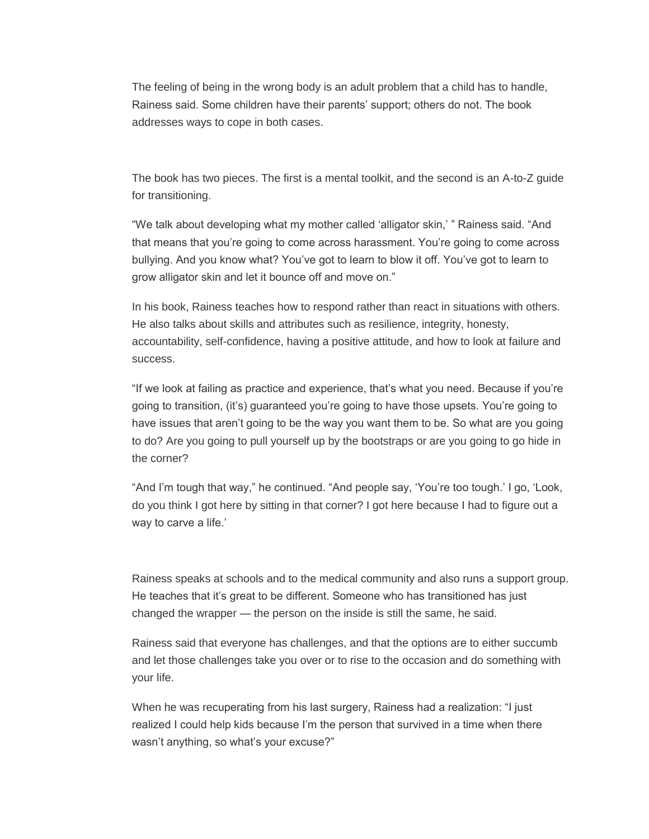The feeling of being in the wrong body is an adult problem that a child has to handle, Rainess said. Some children have their parents' support; others do not. The book addresses ways to cope in both cases[.](http://www.app.com/story/life/2015/02/06/transgender-child-parents-guide/22974149/)

The book has two pieces. The first is a mental toolkit, and the second is an A-to-Z guide for transitioning.

"We talk about developing what my mother called 'alligator skin,' " Rainess said. "And that means that you're going to come across harassment. You're going to come across bullying. And you know what? You've got to learn to blow it off. You've got to learn to grow alligator skin and let it bounce off and move on."

In his book, Rainess teaches how to respond rather than react in situations with others. He also talks about skills and attributes such as resilience, integrity, honesty, accountability, self-confidence, having a positive attitude, and how to look at failure and success.

"If we look at failing as practice and experience, that's what you need. Because if you're going to transition, (it's) guaranteed you're going to have those upsets. You're going to have issues that aren't going to be the way you want them to be. So what are you going to do? Are you going to pull yourself up by the bootstraps or are you going to go hide in the corner?

"And I'm tough that way," he continued. "And people say, 'You're too tough.' I go, 'Look, do you think I got here by sitting in that corner? I got here because I had to figure out a way to carve a life.'

Rainess speaks at schools and to the medical community and also runs a support group. He teaches that it's great to be different. Someone who has transitioned has just changed the wrapper — the person on the inside is still the same, he said.

Rainess said that everyone has challenges, and that the options are to either succumb and let those challenges take you over or to rise to the occasion and do something with your life.

When he was recuperating from his last surgery, Rainess had a realization: "I just realized I could help kids because I'm the person that survived in a time when there wasn't anything, so what's your excuse?"